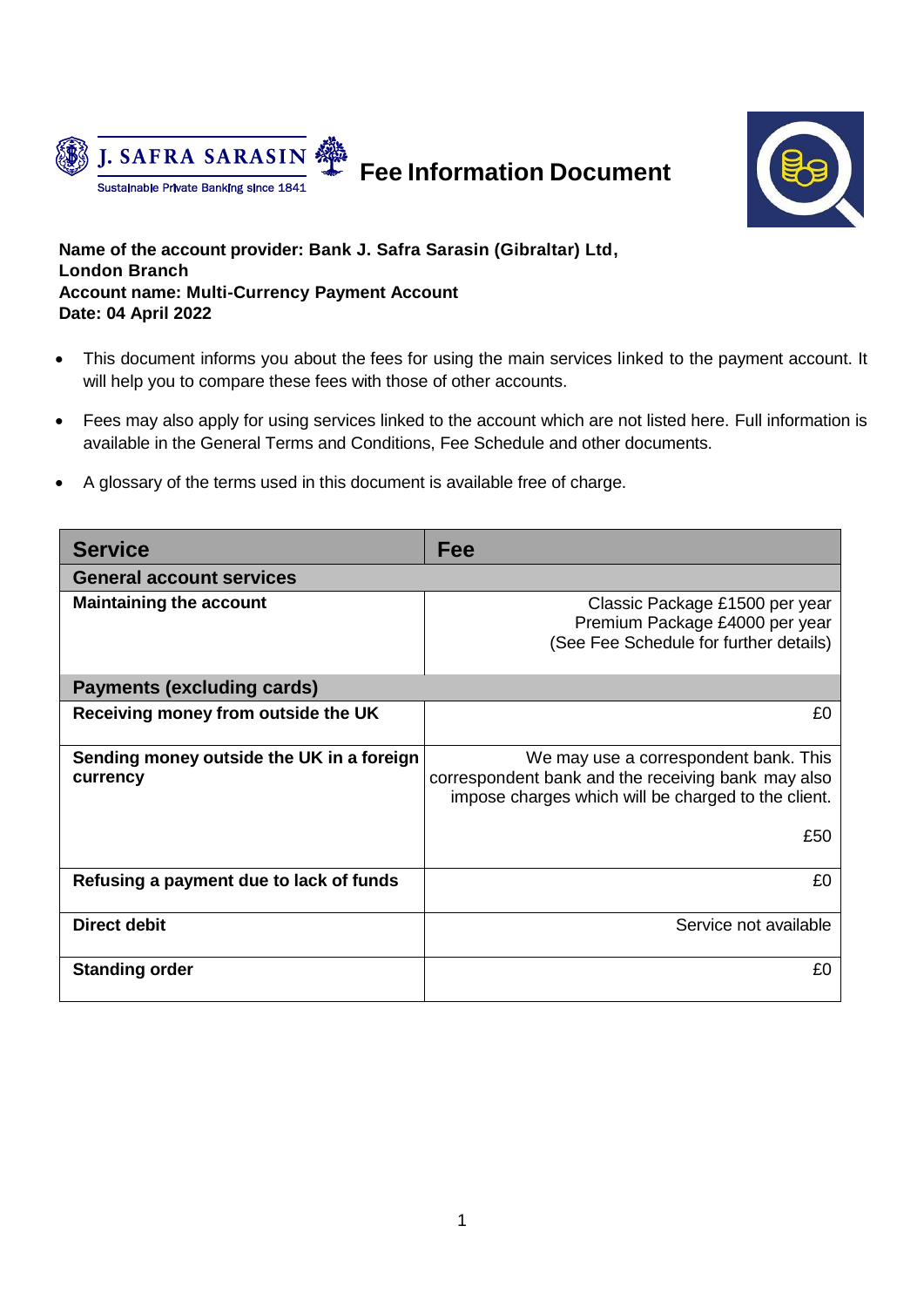



**Name of the account provider: Bank J. Safra Sarasin (Gibraltar) Ltd, London Branch Account name: Multi-Currency Payment Account Date: 04 April 2022**

- This document informs you about the fees for using the main services linked to the payment account. It will help you to compare these fees with those of other accounts.
- Fees may also apply for using services linked to the account which are not listed here. Full information is available in the General Terms and Conditions, Fee Schedule and other documents.
- A glossary of the terms used in this document is available free of charge.

| <b>Service</b>                                        | Fee                                                                                                                                                |  |  |  |
|-------------------------------------------------------|----------------------------------------------------------------------------------------------------------------------------------------------------|--|--|--|
| <b>General account services</b>                       |                                                                                                                                                    |  |  |  |
| <b>Maintaining the account</b>                        | Classic Package £1500 per year<br>Premium Package £4000 per year<br>(See Fee Schedule for further details)                                         |  |  |  |
| <b>Payments (excluding cards)</b>                     |                                                                                                                                                    |  |  |  |
| Receiving money from outside the UK                   | £0                                                                                                                                                 |  |  |  |
| Sending money outside the UK in a foreign<br>currency | We may use a correspondent bank. This<br>correspondent bank and the receiving bank may also<br>impose charges which will be charged to the client. |  |  |  |
|                                                       | £50                                                                                                                                                |  |  |  |
| Refusing a payment due to lack of funds               | £0                                                                                                                                                 |  |  |  |
| <b>Direct debit</b>                                   | Service not available                                                                                                                              |  |  |  |
| <b>Standing order</b>                                 | £0                                                                                                                                                 |  |  |  |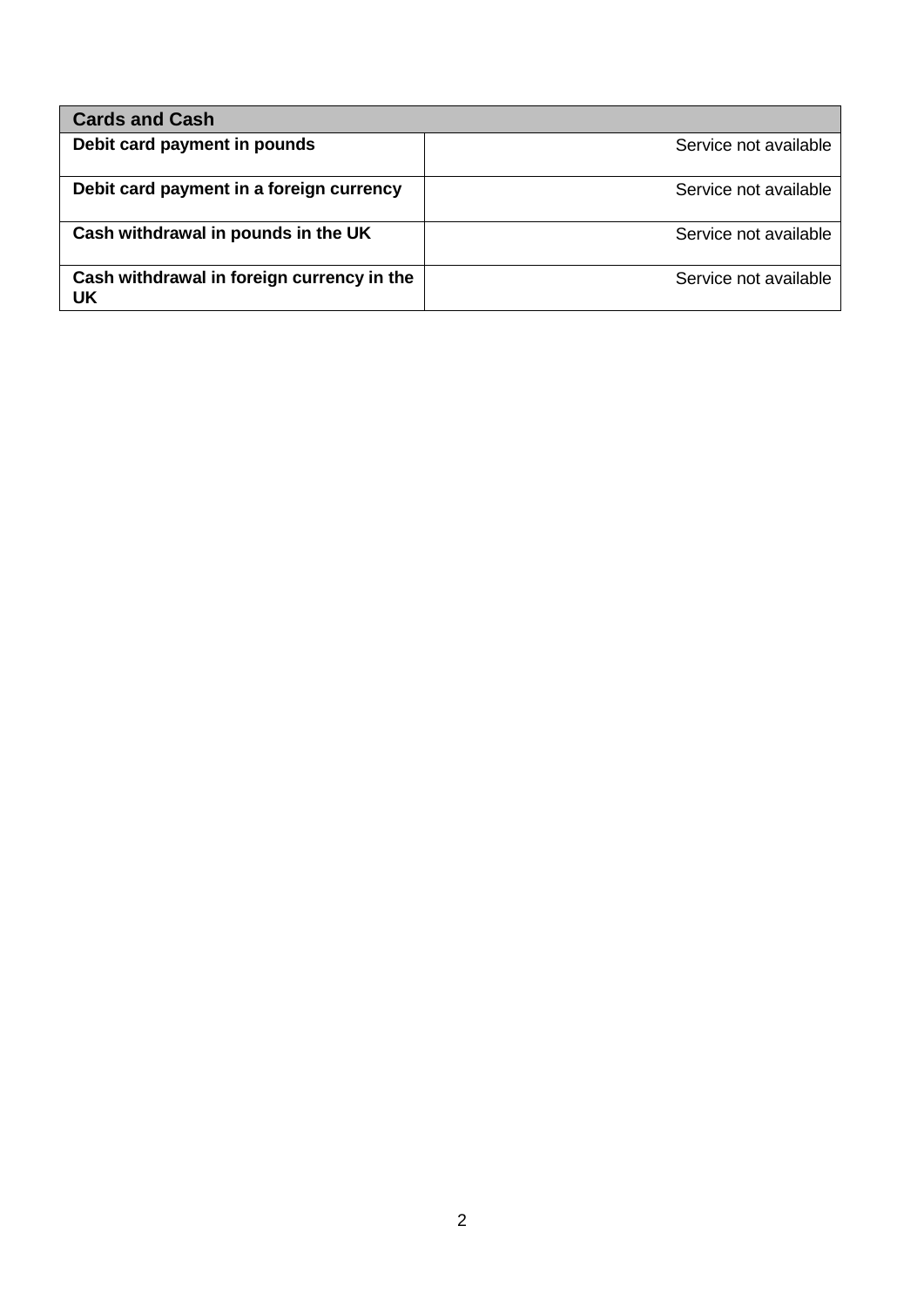| <b>Cards and Cash</b>                            |                       |
|--------------------------------------------------|-----------------------|
| Debit card payment in pounds                     | Service not available |
| Debit card payment in a foreign currency         | Service not available |
| Cash withdrawal in pounds in the UK              | Service not available |
| Cash withdrawal in foreign currency in the<br>UK | Service not available |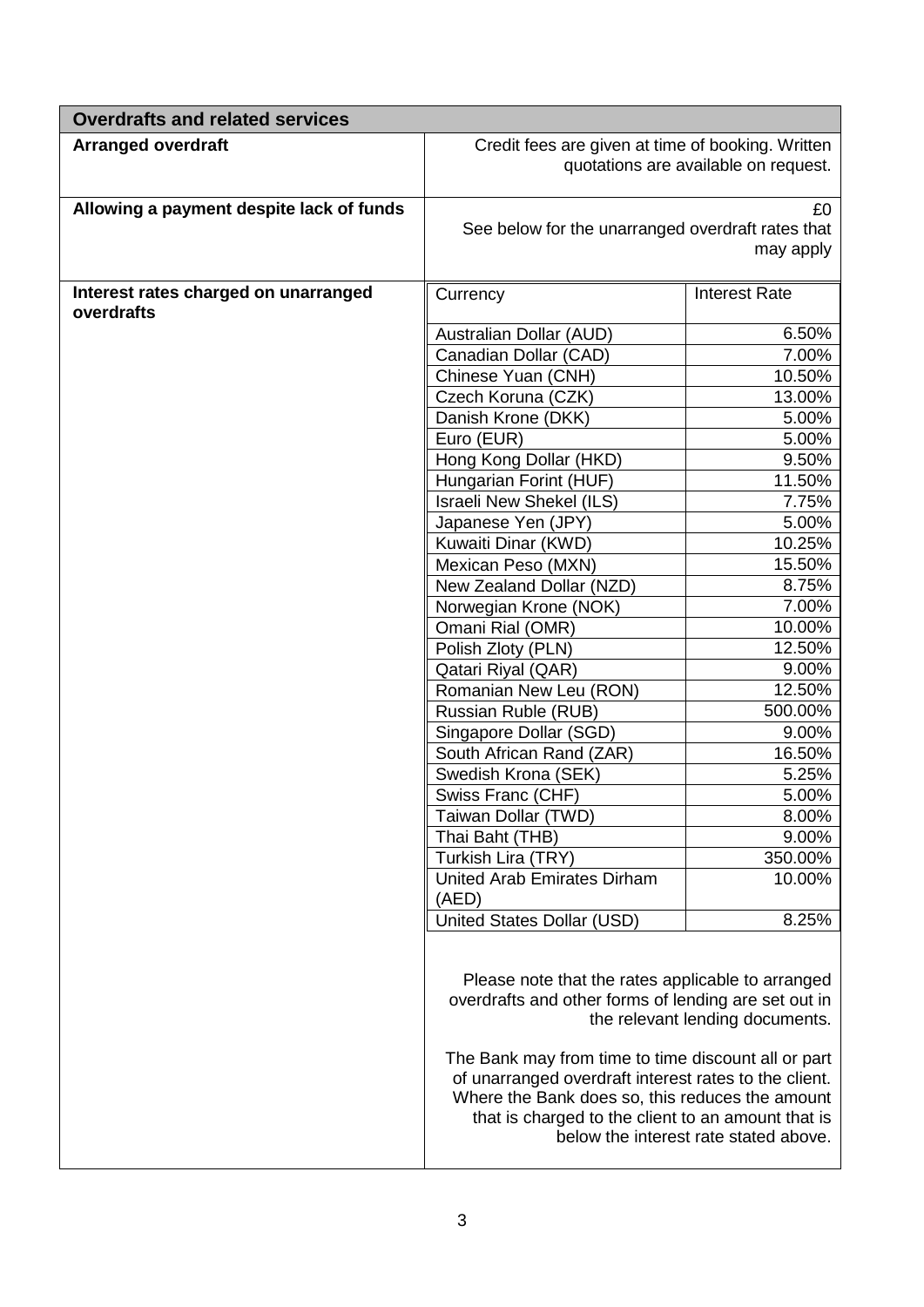| <b>Overdrafts and related services</b>             |                                                                                                                                                                                                                                                                                                                                    |                                                                          |  |  |
|----------------------------------------------------|------------------------------------------------------------------------------------------------------------------------------------------------------------------------------------------------------------------------------------------------------------------------------------------------------------------------------------|--------------------------------------------------------------------------|--|--|
| <b>Arranged overdraft</b>                          | Credit fees are given at time of booking. Written<br>quotations are available on request.                                                                                                                                                                                                                                          |                                                                          |  |  |
| Allowing a payment despite lack of funds           | £0<br>See below for the unarranged overdraft rates that<br>may apply                                                                                                                                                                                                                                                               |                                                                          |  |  |
| Interest rates charged on unarranged<br>overdrafts | Currency                                                                                                                                                                                                                                                                                                                           | <b>Interest Rate</b>                                                     |  |  |
|                                                    | Australian Dollar (AUD)                                                                                                                                                                                                                                                                                                            | 6.50%                                                                    |  |  |
|                                                    | Canadian Dollar (CAD)                                                                                                                                                                                                                                                                                                              | 7.00%                                                                    |  |  |
|                                                    | Chinese Yuan (CNH)                                                                                                                                                                                                                                                                                                                 | 10.50%                                                                   |  |  |
|                                                    | Czech Koruna (CZK)                                                                                                                                                                                                                                                                                                                 | 13.00%                                                                   |  |  |
|                                                    | Danish Krone (DKK)                                                                                                                                                                                                                                                                                                                 | 5.00%                                                                    |  |  |
|                                                    | Euro (EUR)                                                                                                                                                                                                                                                                                                                         | 5.00%                                                                    |  |  |
|                                                    | Hong Kong Dollar (HKD)                                                                                                                                                                                                                                                                                                             | 9.50%                                                                    |  |  |
|                                                    | Hungarian Forint (HUF)                                                                                                                                                                                                                                                                                                             | 11.50%                                                                   |  |  |
|                                                    | Israeli New Shekel (ILS)                                                                                                                                                                                                                                                                                                           | 7.75%                                                                    |  |  |
|                                                    | Japanese Yen (JPY)                                                                                                                                                                                                                                                                                                                 | 5.00%<br>10.25%                                                          |  |  |
|                                                    | Kuwaiti Dinar (KWD)<br>Mexican Peso (MXN)                                                                                                                                                                                                                                                                                          | 15.50%                                                                   |  |  |
|                                                    | New Zealand Dollar (NZD)                                                                                                                                                                                                                                                                                                           | 8.75%                                                                    |  |  |
|                                                    | Norwegian Krone (NOK)                                                                                                                                                                                                                                                                                                              | 7.00%                                                                    |  |  |
|                                                    | Omani Rial (OMR)                                                                                                                                                                                                                                                                                                                   | 10.00%                                                                   |  |  |
|                                                    | Polish Zloty (PLN)                                                                                                                                                                                                                                                                                                                 | 12.50%                                                                   |  |  |
|                                                    | Qatari Riyal (QAR)                                                                                                                                                                                                                                                                                                                 | 9.00%                                                                    |  |  |
|                                                    | Romanian New Leu (RON)                                                                                                                                                                                                                                                                                                             | 12.50%                                                                   |  |  |
|                                                    | Russian Ruble (RUB)                                                                                                                                                                                                                                                                                                                | 500.00%                                                                  |  |  |
|                                                    | Singapore Dollar (SGD)                                                                                                                                                                                                                                                                                                             | 9.00%                                                                    |  |  |
|                                                    | South African Rand (ZAR)                                                                                                                                                                                                                                                                                                           | 16.50%                                                                   |  |  |
|                                                    | Swedish Krona (SEK)                                                                                                                                                                                                                                                                                                                | 5.25%                                                                    |  |  |
|                                                    | Swiss Franc (CHF)                                                                                                                                                                                                                                                                                                                  | 5.00%                                                                    |  |  |
|                                                    | Taiwan Dollar (TWD)                                                                                                                                                                                                                                                                                                                | 8.00%                                                                    |  |  |
|                                                    | Thai Baht (THB)                                                                                                                                                                                                                                                                                                                    | 9.00%                                                                    |  |  |
|                                                    | Turkish Lira (TRY)                                                                                                                                                                                                                                                                                                                 | 350.00%                                                                  |  |  |
|                                                    | <b>United Arab Emirates Dirham</b><br>(AED)                                                                                                                                                                                                                                                                                        | 10.00%                                                                   |  |  |
|                                                    | United States Dollar (USD)                                                                                                                                                                                                                                                                                                         | 8.25%                                                                    |  |  |
|                                                    | Please note that the rates applicable to arranged<br>overdrafts and other forms of lending are set out in<br>The Bank may from time to time discount all or part<br>of unarranged overdraft interest rates to the client.<br>Where the Bank does so, this reduces the amount<br>that is charged to the client to an amount that is | the relevant lending documents.<br>below the interest rate stated above. |  |  |